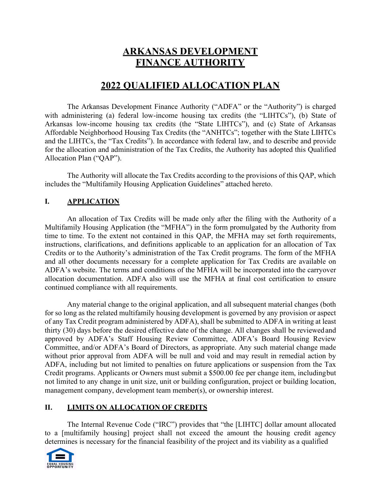# **ARKANSAS DEVELOPMENT FINANCE AUTHORITY**

# **2022 QUALIFIED ALLOCATION PLAN**

The Arkansas Development Finance Authority ("ADFA" or the "Authority") is charged with administering (a) federal low-income housing tax credits (the "LIHTCs"), (b) State of Arkansas low-income housing tax credits (the "State LIHTCs"), and (c) State of Arkansas Affordable Neighborhood Housing Tax Credits (the "ANHTCs"; together with the State LIHTCs and the LIHTCs, the "Tax Credits"). In accordance with federal law, and to describe and provide for the allocation and administration of the Tax Credits, the Authority has adopted this Qualified Allocation Plan ("QAP").

The Authority will allocate the Tax Credits according to the provisions of this QAP, which includes the "Multifamily Housing Application Guidelines" attached hereto.

### **I. APPLICATION**

An allocation of Tax Credits will be made only after the filing with the Authority of a Multifamily Housing Application (the "MFHA") in the form promulgated by the Authority from time to time. To the extent not contained in this QAP, the MFHA may set forth requirements, instructions, clarifications, and definitions applicable to an application for an allocation of Tax Credits or to the Authority's administration of the Tax Credit programs. The form of the MFHA and all other documents necessary for a complete application for Tax Credits are available on ADFA's website. The terms and conditions of the MFHA will be incorporated into the carryover allocation documentation. ADFA also will use the MFHA at final cost certification to ensure continued compliance with all requirements.

Any material change to the original application, and all subsequent material changes (both for so long as the related multifamily housing development is governed by any provision or aspect of any Tax Credit program administered by ADFA), shall be submitted to ADFA in writing at least thirty (30) days before the desired effective date of the change. All changes shall be reviewed and approved by ADFA's Staff Housing Review Committee, ADFA's Board Housing Review Committee, and/or ADFA's Board of Directors, as appropriate. Any such material change made without prior approval from ADFA will be null and void and may result in remedial action by ADFA, including but not limited to penalties on future applications or suspension from the Tax Credit programs. Applicants or Owners must submit a \$500.00 fee per change item, including but not limited to any change in unit size, unit or building configuration, project or building location, management company, development team member(s), or ownership interest.

### **II. LIMITS ON ALLOCATION OF CREDITS**

The Internal Revenue Code ("IRC") provides that "the [LIHTC] dollar amount allocated to a [multifamily housing] project shall not exceed the amount the housing credit agency determines is necessary for the financial feasibility of the project and its viability as a qualified

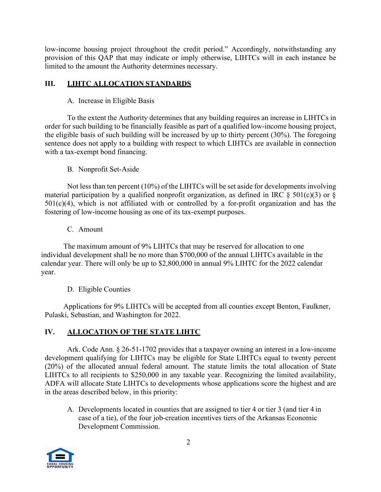low-income housing project throughout the credit period." Accordingly, notwithstanding any provision of this QAP that may indicate or imply otherwise, LIHTCs will in each instance be limited to the amount the Authority determines necessary.

### **III. LIHTC ALLOCATION STANDARDS**

A. Increase in Eligible Basis

To the extent the Authority determines that any building requires an increase in LIHTCs in order for such building to be financially feasible as part of a qualified low-income housing project, the eligible basis of such building will be increased by up to thirty percent (30%). The foregoing sentence does not apply to a building with respect to which LIHTCs are available in connection with a tax-exempt bond financing.

#### B. Nonprofit Set-Aside

Not less than ten percent (10%) of the LIHTCs will be set aside for developments involving material participation by a qualified nonprofit organization, as defined in IRC  $\S$  501(c)(3) or  $\S$  $501(c)(4)$ , which is not affiliated with or controlled by a for-profit organization and has the fostering of low-income housing as one of its tax-exempt purposes.

C. Amount

The maximum amount of 9% LIHTCs that may be reserved for allocation to one individual development shall be no more than \$700,000 of the annual LIHTCs available in the calendar year. There will only be up to \$2,800,000 in annual 9% LIHTC for the 2022 calendar year.

### D. Eligible Counties

Applications for 9% LIHTCs will be accepted from all counties except Benton, Faulkner, Pulaski, Sebastian, and Washington for 2022.

## **IV. ALLOCATION OF THE STATE LIHTC**

Ark. Code Ann. § 26-51-1702 provides that a taxpayer owning an interest in a low-income development qualifying for LIHTCs may be eligible for State LIHTCs equal to twenty percent (20%) of the allocated annual federal amount. The statute limits the total allocation of State LIHTCs to all recipients to \$250,000 in any taxable year. Recognizing the limited availability, ADFA will allocate State LIHTCs to developments whose applications score the highest and are in the areas described below, in this priority:

A. Developments located in counties that are assigned to tier 4 or tier 3 (and tier 4 in case of a tie), of the four job-creation incentives tiers of the Arkansas Economic Development Commission.

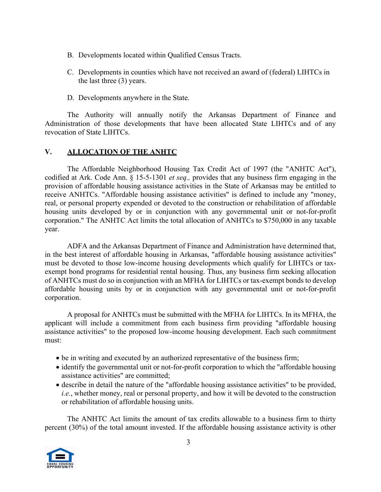- B. Developments located within Qualified Census Tracts.
- C. Developments in counties which have not received an award of (federal) LIHTCs in the last three (3) years.
- D. Developments anywhere in the State.

The Authority will annually notify the Arkansas Department of Finance and Administration of those developments that have been allocated State LIHTCs and of any revocation of State LIHTCs.

#### **V. ALLOCATION OF THE ANHTC**

The Affordable Neighborhood Housing Tax Credit Act of 1997 (the "ANHTC Act"), codified at Ark. Code Ann. § 15-5-1301 *et seq.,* provides that any business firm engaging in the provision of affordable housing assistance activities in the State of Arkansas may be entitled to receive ANHTCs. "Affordable housing assistance activities" is defined to include any "money, real, or personal property expended or devoted to the construction or rehabilitation of affordable housing units developed by or in conjunction with any governmental unit or not-for-profit corporation." The ANHTC Act limits the total allocation of ANHTCs to \$750,000 in any taxable year.

ADFA and the Arkansas Department of Finance and Administration have determined that, in the best interest of affordable housing in Arkansas, "affordable housing assistance activities" must be devoted to those low-income housing developments which qualify for LIHTCs or taxexempt bond programs for residential rental housing. Thus, any business firm seeking allocation of ANHTCs must do so in conjunction with an MFHA for LIHTCs or tax-exempt bonds to develop affordable housing units by or in conjunction with any governmental unit or not-for-profit corporation.

A proposal for ANHTCs must be submitted with the MFHA for LIHTCs. In its MFHA, the applicant will include a commitment from each business firm providing "affordable housing assistance activities" to the proposed low-income housing development. Each such commitment must:

- be in writing and executed by an authorized representative of the business firm;
- identify the governmental unit or not-for-profit corporation to which the "affordable housing assistance activities" are committed;
- describe in detail the nature of the "affordable housing assistance activities" to be provided, *i.e.*, whether money, real or personal property, and how it will be devoted to the construction or rehabilitation of affordable housing units.

The ANHTC Act limits the amount of tax credits allowable to a business firm to thirty percent (30%) of the total amount invested. If the affordable housing assistance activity is other

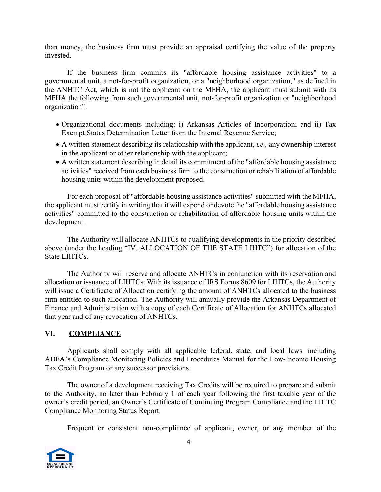than money, the business firm must provide an appraisal certifying the value of the property invested.

If the business firm commits its "affordable housing assistance activities" to a governmental unit, a not-for-profit organization, or a "neighborhood organization," as defined in the ANHTC Act, which is not the applicant on the MFHA, the applicant must submit with its MFHA the following from such governmental unit, not-for-profit organization or "neighborhood organization":

- Organizational documents including: i) Arkansas Articles of Incorporation; and ii) Tax Exempt Status Determination Letter from the Internal Revenue Service;
- A written statement describing its relationship with the applicant, *i.e.,* any ownership interest in the applicant or other relationship with the applicant;
- A written statement describing in detail its commitment of the "affordable housing assistance activities" received from each business firm to the construction or rehabilitation of affordable housing units within the development proposed.

For each proposal of "affordable housing assistance activities" submitted with the MFHA, the applicant must certify in writing that it will expend or devote the "affordable housing assistance activities" committed to the construction or rehabilitation of affordable housing units within the development.

The Authority will allocate ANHTCs to qualifying developments in the priority described above (under the heading "IV. ALLOCATION OF THE STATE LIHTC") for allocation of the State LIHTCs.

The Authority will reserve and allocate ANHTCs in conjunction with its reservation and allocation or issuance of LIHTCs. With its issuance of IRS Forms 8609 for LIHTCs, the Authority will issue a Certificate of Allocation certifying the amount of ANHTCs allocated to the business firm entitled to such allocation. The Authority will annually provide the Arkansas Department of Finance and Administration with a copy of each Certificate of Allocation for ANHTCs allocated that year and of any revocation of ANHTCs.

### **VI. COMPLIANCE**

Applicants shall comply with all applicable federal, state, and local laws, including ADFA's Compliance Monitoring Policies and Procedures Manual for the Low-Income Housing Tax Credit Program or any successor provisions.

The owner of a development receiving Tax Credits will be required to prepare and submit to the Authority, no later than February 1 of each year following the first taxable year of the owner's credit period, an Owner's Certificate of Continuing Program Compliance and the LIHTC Compliance Monitoring Status Report.

Frequent or consistent non-compliance of applicant, owner, or any member of the

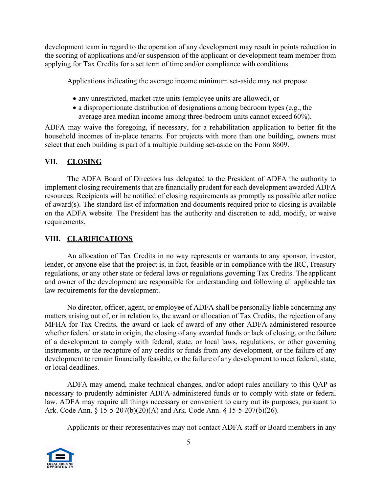development team in regard to the operation of any development may result in points reduction in the scoring of applications and/or suspension of the applicant or development team member from applying for Tax Credits for a set term of time and/or compliance with conditions.

Applications indicating the average income minimum set-aside may not propose

- any unrestricted, market-rate units (employee units are allowed), or
- a disproportionate distribution of designations among bedroom types (e.g., the average area median income among three-bedroom units cannot exceed 60%).

ADFA may waive the foregoing, if necessary, for a rehabilitation application to better fit the household incomes of in-place tenants. For projects with more than one building, owners must select that each building is part of a multiple building set-aside on the Form 8609.

### **VII. CLOSING**

The ADFA Board of Directors has delegated to the President of ADFA the authority to implement closing requirements that are financially prudent for each development awarded ADFA resources. Recipients will be notified of closing requirements as promptly as possible after notice of award(s). The standard list of information and documents required prior to closing is available on the ADFA website. The President has the authority and discretion to add, modify, or waive requirements.

#### **VIII. CLARIFICATIONS**

An allocation of Tax Credits in no way represents or warrants to any sponsor, investor, lender, or anyone else that the project is, in fact, feasible or in compliance with the IRC, Treasury regulations, or any other state or federal laws or regulations governing Tax Credits. The applicant and owner of the development are responsible for understanding and following all applicable tax law requirements for the development.

No director, officer, agent, or employee of ADFA shall be personally liable concerning any matters arising out of, or in relation to, the award or allocation of Tax Credits, the rejection of any MFHA for Tax Credits, the award or lack of award of any other ADFA-administered resource whether federal or state in origin, the closing of any awarded funds or lack of closing, or the failure of a development to comply with federal, state, or local laws, regulations, or other governing instruments, or the recapture of any credits or funds from any development, or the failure of any development to remain financially feasible, or the failure of any development to meet federal, state, or local deadlines.

ADFA may amend, make technical changes, and/or adopt rules ancillary to this QAP as necessary to prudently administer ADFA-administered funds or to comply with state or federal law. ADFA may require all things necessary or convenient to carry out its purposes, pursuant to Ark. Code Ann. § 15-5-207(b)(20)(A) and Ark. Code Ann. § 15-5-207(b)(26).

Applicants or their representatives may not contact ADFA staff or Board members in any

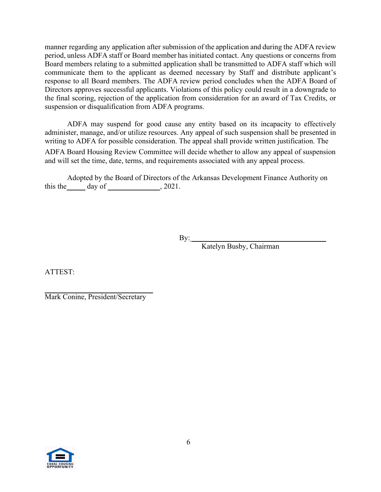manner regarding any application after submission of the application and during the ADFA review period, unless ADFA staff or Board member has initiated contact. Any questions or concerns from Board members relating to a submitted application shall be transmitted to ADFA staff which will communicate them to the applicant as deemed necessary by Staff and distribute applicant's response to all Board members. The ADFA review period concludes when the ADFA Board of Directors approves successful applicants. Violations of this policy could result in a downgrade to the final scoring, rejection of the application from consideration for an award of Tax Credits, or suspension or disqualification from ADFA programs.

ADFA may suspend for good cause any entity based on its incapacity to effectively administer, manage, and/or utilize resources. Any appeal of such suspension shall be presented in writing to ADFA for possible consideration. The appeal shall provide written justification. The

ADFA Board Housing Review Committee will decide whether to allow any appeal of suspension and will set the time, date, terms, and requirements associated with any appeal process.

Adopted by the Board of Directors of the Arkansas Development Finance Authority on this the  $\_\_\_\_$  day of  $\_\_\_\_\_$ , 2021.

By:

Katelyn Busby, Chairman

ATTEST:

Mark Conine, President/Secretary

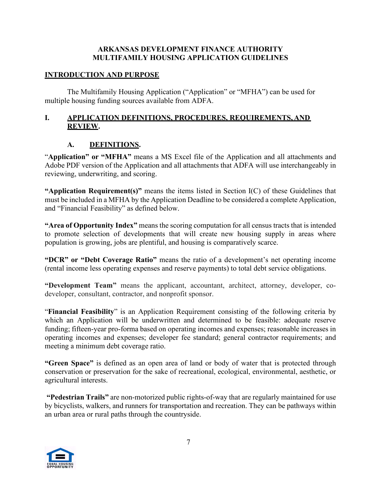#### **ARKANSAS DEVELOPMENT FINANCE AUTHORITY MULTIFAMILY HOUSING APPLICATION GUIDELINES**

#### **INTRODUCTION AND PURPOSE**

The Multifamily Housing Application ("Application" or "MFHA") can be used for multiple housing funding sources available from ADFA.

#### **I. APPLICATION DEFINITIONS, PROCEDURES, REQUIREMENTS, AND REVIEW.**

### **A. DEFINITIONS.**

"**Application" or "MFHA"** means a MS Excel file of the Application and all attachments and Adobe PDF version of the Application and all attachments that ADFA will use interchangeably in reviewing, underwriting, and scoring.

**"Application Requirement(s)"** means the items listed in Section I(C) of these Guidelines that must be included in a MFHA by the Application Deadline to be considered a complete Application, and "Financial Feasibility" as defined below.

**"Area of Opportunity Index"** means the scoring computation for all census tracts that is intended to promote selection of developments that will create new housing supply in areas where population is growing, jobs are plentiful, and housing is comparatively scarce.

**"DCR" or "Debt Coverage Ratio"** means the ratio of a development's net operating income (rental income less operating expenses and reserve payments) to total debt service obligations.

**"Development Team"** means the applicant, accountant, architect, attorney, developer, codeveloper, consultant, contractor, and nonprofit sponsor.

"**Financial Feasibility**" is an Application Requirement consisting of the following criteria by which an Application will be underwritten and determined to be feasible: adequate reserve funding; fifteen-year pro-forma based on operating incomes and expenses; reasonable increases in operating incomes and expenses; developer fee standard; general contractor requirements; and meeting a minimum debt coverage ratio.

**"Green Space"** is defined as an open area of land or body of water that is protected through conservation or preservation for the sake of recreational, ecological, environmental, aesthetic, or agricultural interests.

**"Pedestrian Trails"** are non-motorized public rights-of-way that are regularly maintained for use by bicyclists, walkers, and runners for transportation and recreation. They can be pathways within an urban area or rural paths through the countryside.

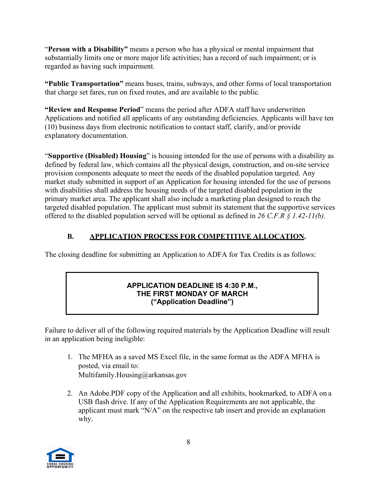"**Person with a Disability"** means a person who has a physical or mental impairment that substantially limits one or more major life activities; has a record of such impairment; or is regarded as having such impairment.

**"Public Transportation"** means buses, trains, subways, and other forms of local transportation that charge set fares, run on fixed routes, and are available to the public.

**"Review and Response Period**" means the period after ADFA staff have underwritten Applications and notified all applicants of any outstanding deficiencies. Applicants will have ten (10) business days from electronic notification to contact staff, clarify, and/or provide explanatory documentation.

"**Supportive (Disabled) Housing**" is housing intended for the use of persons with a disability as defined by federal law, which contains all the physical design, construction, and on-site service provision components adequate to meet the needs of the disabled population targeted. Any market study submitted in support of an Application for housing intended for the use of persons with disabilities shall address the housing needs of the targeted disabled population in the primary market area. The applicant shall also include a marketing plan designed to reach the targeted disabled population. The applicant must submit its statement that the supportive services offered to the disabled population served will be optional as defined in *26 C.F.R § 1.42-11(b).* 

# **B. APPLICATION PROCESS FOR COMPETITIVE ALLOCATION.**

The closing deadline for submitting an Application to ADFA for Tax Credits is as follows:

#### **APPLICATION DEADLINE IS 4:30 P.M., THE FIRST MONDAY OF MARCH ("Application Deadline")**

Failure to deliver all of the following required materials by the Application Deadline will result in an application being ineligible:

- 1. The MFHA as a saved MS Excel file, in the same format as the ADFA MFHA is posted, via email to: [Multifamily.Housing@arkansas.gov](mailto:Multifamily.Housing@arkansas.gov)
- 2. An Adobe.PDF copy of the Application and all exhibits, bookmarked, to ADFA on a USB flash drive. If any of the Application Requirements are not applicable, the applicant must mark "N/A" on the respective tab insert and provide an explanation why.

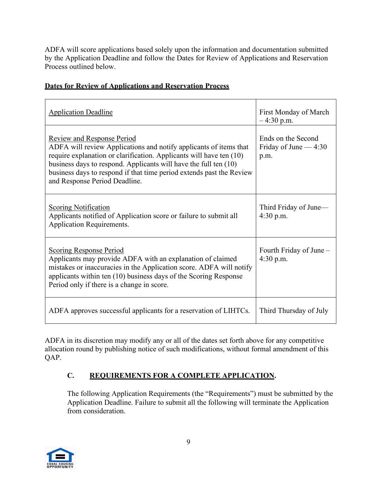ADFA will score applications based solely upon the information and documentation submitted by the Application Deadline and follow the Dates for Review of Applications and Reservation Process outlined below.

|  | <b>Dates for Review of Applications and Reservation Process</b> |
|--|-----------------------------------------------------------------|
|  |                                                                 |

| <b>Application Deadline</b>                                                                                                                                                                                                                                                                                                                                  | First Monday of March<br>$-4:30$ p.m.                |
|--------------------------------------------------------------------------------------------------------------------------------------------------------------------------------------------------------------------------------------------------------------------------------------------------------------------------------------------------------------|------------------------------------------------------|
| <b>Review and Response Period</b><br>ADFA will review Applications and notify applicants of items that<br>require explanation or clarification. Applicants will have ten (10)<br>business days to respond. Applicants will have the full ten $(10)$<br>business days to respond if that time period extends past the Review<br>and Response Period Deadline. | Ends on the Second<br>Friday of June $-4:30$<br>p.m. |
| <b>Scoring Notification</b><br>Applicants notified of Application score or failure to submit all<br><b>Application Requirements.</b>                                                                                                                                                                                                                         | Third Friday of June—<br>4:30 p.m.                   |
| <b>Scoring Response Period</b><br>Applicants may provide ADFA with an explanation of claimed<br>mistakes or inaccuracies in the Application score. ADFA will notify<br>applicants within ten (10) business days of the Scoring Response<br>Period only if there is a change in score.                                                                        | Fourth Friday of June -<br>4:30 p.m.                 |
| ADFA approves successful applicants for a reservation of LIHTCs.                                                                                                                                                                                                                                                                                             | Third Thursday of July                               |

ADFA in its discretion may modify any or all of the dates set forth above for any competitive allocation round by publishing notice of such modifications, without formal amendment of this QAP.

# **C. REQUIREMENTS FOR A COMPLETE APPLICATION.**

The following Application Requirements (the "Requirements") must be submitted by the Application Deadline. Failure to submit all the following will terminate the Application from consideration.

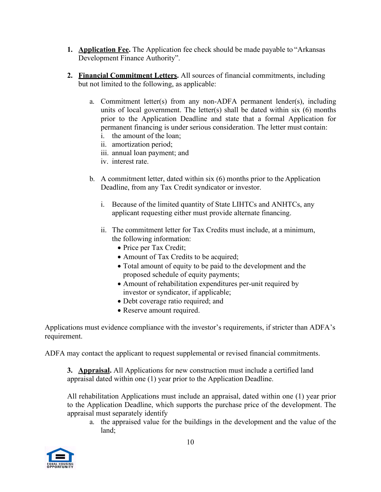- **1. Application Fee.** The Application fee check should be made payable to "Arkansas Development Finance Authority".
- **2. Financial Commitment Letters.** All sources of financial commitments, including but not limited to the following, as applicable:
	- a. Commitment letter(s) from any non-ADFA permanent lender(s), including units of local government. The letter(s) shall be dated within six  $(6)$  months prior to the Application Deadline and state that a formal Application for permanent financing is under serious consideration. The letter must contain:
		- i. the amount of the loan;
		- ii. amortization period;
		- iii. annual loan payment; and
		- iv. interest rate.
	- b. A commitment letter, dated within six (6) months prior to the Application Deadline, from any Tax Credit syndicator or investor.
		- i. Because of the limited quantity of State LIHTCs and ANHTCs, any applicant requesting either must provide alternate financing.
		- ii. The commitment letter for Tax Credits must include, at a minimum, the following information:
			- Price per Tax Credit;
			- Amount of Tax Credits to be acquired;
			- Total amount of equity to be paid to the development and the proposed schedule of equity payments;
			- Amount of rehabilitation expenditures per-unit required by investor or syndicator, if applicable;
			- Debt coverage ratio required; and
			- Reserve amount required.

Applications must evidence compliance with the investor's requirements, if stricter than ADFA's requirement.

ADFA may contact the applicant to request supplemental or revised financial commitments.

**3. Appraisal.** All Applications for new construction must include a certified land appraisal dated within one (1) year prior to the Application Deadline.

All rehabilitation Applications must include an appraisal, dated within one (1) year prior to the Application Deadline, which supports the purchase price of the development. The appraisal must separately identify

a. the appraised value for the buildings in the development and the value of the land;

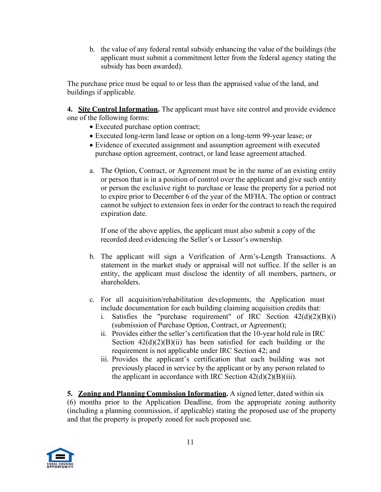b. the value of any federal rental subsidy enhancing the value of the buildings (the applicant must submit a commitment letter from the federal agency stating the subsidy has been awarded).

The purchase price must be equal to or less than the appraised value of the land, and buildings if applicable.

**4. Site Control Information.** The applicant must have site control and provide evidence one of the following forms:

- Executed purchase option contract;
- Executed long-term land lease or option on a long-term 99-year lease; or
- Evidence of executed assignment and assumption agreement with executed purchase option agreement, contract, or land lease agreement attached.
- a. The Option, Contract, or Agreement must be in the name of an existing entity or person that is in a position of control over the applicant and give such entity or person the exclusive right to purchase or lease the property for a period not to expire prior to December 6 of the year of the MFHA. The option or contract cannot be subject to extension fees in order for the contract to reach the required expiration date.

If one of the above applies, the applicant must also submit a copy of the recorded deed evidencing the Seller's or Lessor's ownership.

- b. The applicant will sign a Verification of Arm's-Length Transactions. A statement in the market study or appraisal will not suffice. If the seller is an entity, the applicant must disclose the identity of all members, partners, or shareholders.
- c. For all acquisition/rehabilitation developments, the Application must include documentation for each building claiming acquisition credits that:
	- i. Satisfies the "purchase requirement" of IRC Section  $42(d)(2)(B)(i)$ (submission of Purchase Option, Contract, or Agreement);
	- ii. Provides either the seller's certification that the 10-year hold rule in IRC Section  $42(d)(2)(B)(ii)$  has been satisfied for each building or the requirement is not applicable under IRC Section 42; and
	- iii. Provides the applicant's certification that each building was not previously placed in service by the applicant or by any person related to the applicant in accordance with IRC Section 42(d)(2)(B)(iii).

**5. Zoning and Planning Commission Information.** A signed letter, dated within six (6) months prior to the Application Deadline, from the appropriate zoning authority (including a planning commission, if applicable) stating the proposed use of the property and that the property is properly zoned for such proposed use.

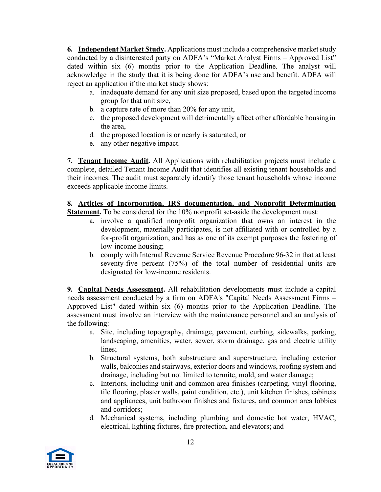**6. Independent Market Study.** Applications must include a comprehensive market study conducted by a disinterested party on ADFA's "Market Analyst Firms – Approved List" dated within six (6) months prior to the Application Deadline. The analyst will acknowledge in the study that it is being done for ADFA's use and benefit. ADFA will reject an application if the market study shows:

- a. inadequate demand for any unit size proposed, based upon the targeted income group for that unit size,
- b. a capture rate of more than 20% for any unit,
- c. the proposed development will detrimentally affect other affordable housing in the area,
- d. the proposed location is or nearly is saturated, or
- e. any other negative impact.

**7. Tenant Income Audit.** All Applications with rehabilitation projects must include a complete, detailed Tenant Income Audit that identifies all existing tenant households and their incomes. The audit must separately identify those tenant households whose income exceeds applicable income limits.

## **8. Articles of Incorporation, IRS documentation, and Nonprofit Determination**

**Statement.** To be considered for the 10% nonprofit set-aside the development must:

- a. involve a qualified nonprofit organization that owns an interest in the development, materially participates, is not affiliated with or controlled by a for-profit organization, and has as one of its exempt purposes the fostering of low-income housing;
- b. comply with Internal Revenue Service Revenue Procedure 96-32 in that at least seventy-five percent (75%) of the total number of residential units are designated for low-income residents.

**9. Capital Needs Assessment.** All rehabilitation developments must include a capital needs assessment conducted by a firm on ADFA's "Capital Needs Assessment Firms – Approved List" dated within six (6) months prior to the Application Deadline. The assessment must involve an interview with the maintenance personnel and an analysis of the following:

- a. Site, including topography, drainage, pavement, curbing, sidewalks, parking, landscaping, amenities, water, sewer, storm drainage, gas and electric utility lines;
- b. Structural systems, both substructure and superstructure, including exterior walls, balconies and stairways, exterior doors and windows, roofing system and drainage, including but not limited to termite, mold, and water damage;
- c. Interiors, including unit and common area finishes (carpeting, vinyl flooring, tile flooring, plaster walls, paint condition, etc.), unit kitchen finishes, cabinets and appliances, unit bathroom finishes and fixtures, and common area lobbies and corridors;
- d. Mechanical systems, including plumbing and domestic hot water, HVAC, electrical, lighting fixtures, fire protection, and elevators; and

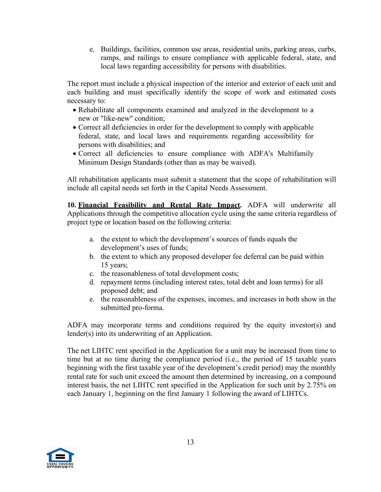e. Buildings, facilities, common use areas, residential units, parking areas, curbs, ramps, and railings to ensure compliance with applicable federal, state, and local laws regarding accessibility for persons with disabilities.

The report must include a physical inspection of the interior and exterior of each unit and each building and must specifically identify the scope of work and estimated costs necessary to:

- Rehabilitate all components examined and analyzed in the development to a new or "like-new" condition;
- Correct all deficiencies in order for the development to comply with applicable federal, state, and local laws and requirements regarding accessibility for persons with disabilities; and
- Correct all deficiencies to ensure compliance with ADFA's Multifamily Minimum Design Standards (other than as may be waived).

All rehabilitation applicants must submit a statement that the scope of rehabilitation will include all capital needs set forth in the Capital Needs Assessment.

**10. Financial Feasibility and Rental Rate Impact.** ADFA will underwrite all Applications through the competitive allocation cycle using the same criteria regardless of project type or location based on the following criteria:

- a. the extent to which the development's sources of funds equals the development's uses of funds;
- b. the extent to which any proposed developer fee deferral can be paid within 15 years;
- c. the reasonableness of total development costs;
- d. repayment terms (including interest rates, total debt and loan terms) for all proposed debt; and
- e. the reasonableness of the expenses, incomes, and increases in both show in the submitted pro-forma.

ADFA may incorporate terms and conditions required by the equity investor(s) and lender(s) into its underwriting of an Application.

The net LIHTC rent specified in the Application for a unit may be increased from time to time but at no time during the compliance period (i.e., the period of 15 taxable years beginning with the first taxable year of the development's credit period) may the monthly rental rate for such unit exceed the amount then determined by increasing, on a compound interest basis, the net LIHTC rent specified in the Application for such unit by 2.75% on each January 1, beginning on the first January 1 following the award of LIHTCs.

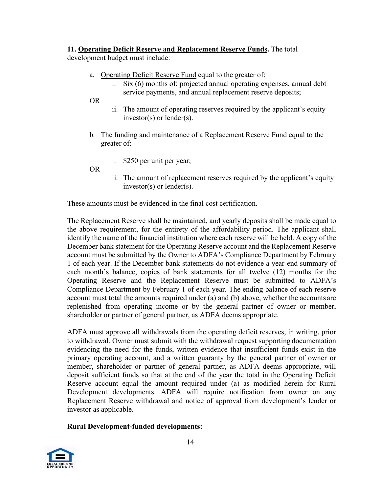#### **11. Operating Deficit Reserve and Replacement Reserve Funds.** The total

development budget must include:

- a. Operating Deficit Reserve Fund equal to the greater of:
	- i. Six (6) months of: projected annual operating expenses, annual debt service payments, and annual replacement reserve deposits;

OR

- ii. The amount of operating reserves required by the applicant's equity investor(s) or lender(s).
- b. The funding and maintenance of a Replacement Reserve Fund equal to the greater of:
	- i. \$250 per unit per year;

OR

ii. The amount of replacement reserves required by the applicant's equity investor(s) or lender(s).

These amounts must be evidenced in the final cost certification.

The Replacement Reserve shall be maintained, and yearly deposits shall be made equal to the above requirement, for the entirety of the affordability period. The applicant shall identify the name of the financial institution where each reserve will be held. A copy of the December bank statement for the Operating Reserve account and the Replacement Reserve account must be submitted by the Owner to ADFA's Compliance Department by February 1 of each year. If the December bank statements do not evidence a year-end summary of each month's balance, copies of bank statements for all twelve (12) months for the Operating Reserve and the Replacement Reserve must be submitted to ADFA's Compliance Department by February 1 of each year. The ending balance of each reserve account must total the amounts required under (a) and (b) above, whether the accounts are replenished from operating income or by the general partner of owner or member, shareholder or partner of general partner, as ADFA deems appropriate.

ADFA must approve all withdrawals from the operating deficit reserves, in writing, prior to withdrawal. Owner must submit with the withdrawal request supporting documentation evidencing the need for the funds, written evidence that insufficient funds exist in the primary operating account, and a written guaranty by the general partner of owner or member, shareholder or partner of general partner, as ADFA deems appropriate, will deposit sufficient funds so that at the end of the year the total in the Operating Deficit Reserve account equal the amount required under (a) as modified herein for Rural Development developments. ADFA will require notification from owner on any Replacement Reserve withdrawal and notice of approval from development's lender or investor as applicable.

### **Rural Development-funded developments:**

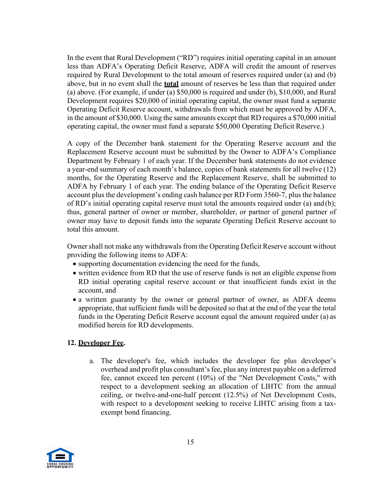In the event that Rural Development ("RD") requires initial operating capital in an amount less than ADFA's Operating Deficit Reserve, ADFA will credit the amount of reserves required by Rural Development to the total amount of reserves required under (a) and (b) above, but in no event shall the **total** amount of reserves be less than that required under (a) above. (For example, if under (a) \$50,000 is required and under (b), \$10,000, and Rural Development requires \$20,000 of initial operating capital, the owner must fund a separate Operating Deficit Reserve account, withdrawals from which must be approved by ADFA, in the amount of \$30,000. Using the same amounts except that RD requires a \$70,000 initial operating capital, the owner must fund a separate \$50,000 Operating Deficit Reserve.)

A copy of the December bank statement for the Operating Reserve account and the Replacement Reserve account must be submitted by the Owner to ADFA's Compliance Department by February 1 of each year. If the December bank statements do not evidence a year-end summary of each month's balance, copies of bank statements for all twelve (12) months, for the Operating Reserve and the Replacement Reserve, shall be submitted to ADFA by February 1 of each year. The ending balance of the Operating Deficit Reserve account plus the development's ending cash balance per RD Form 3560-7, plus the balance of RD's initial operating capital reserve must total the amounts required under (a) and (b); thus, general partner of owner or member, shareholder, or partner of general partner of owner may have to deposit funds into the separate Operating Deficit Reserve account to total this amount.

Owner shall not make any withdrawals from the Operating Deficit Reserve account without providing the following items to ADFA:

- supporting documentation evidencing the need for the funds,
- written evidence from RD that the use of reserve funds is not an eligible expense from RD initial operating capital reserve account or that insufficient funds exist in the account, and
- a written guaranty by the owner or general partner of owner, as ADFA deems appropriate, that sufficient funds will be deposited so that at the end of the year the total funds in the Operating Deficit Reserve account equal the amount required under (a) as modified herein for RD developments.

#### **12. Developer Fee.**

a. The developer's fee, which includes the developer fee plus developer's overhead and profit plus consultant's fee, plus any interest payable on a deferred fee, cannot exceed ten percent (10%) of the "Net Development Costs," with respect to a development seeking an allocation of LIHTC from the annual ceiling, or twelve-and-one-half percent (12.5%) of Net Development Costs, with respect to a development seeking to receive LIHTC arising from a taxexempt bond financing.

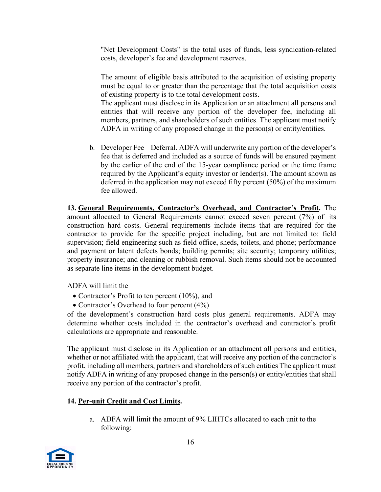"Net Development Costs" is the total uses of funds, less syndication-related costs, developer's fee and development reserves.

The amount of eligible basis attributed to the acquisition of existing property must be equal to or greater than the percentage that the total acquisition costs of existing property is to the total development costs.

The applicant must disclose in its Application or an attachment all persons and entities that will receive any portion of the developer fee, including all members, partners, and shareholders of such entities. The applicant must notify ADFA in writing of any proposed change in the person(s) or entity/entities.

b. Developer Fee – Deferral. ADFA will underwrite any portion of the developer's fee that is deferred and included as a source of funds will be ensured payment by the earlier of the end of the 15-year compliance period or the time frame required by the Applicant's equity investor or lender(s). The amount shown as deferred in the application may not exceed fifty percent (50%) of the maximum fee allowed.

**13. General Requirements, Contractor's Overhead, and Contractor's Profit.** The amount allocated to General Requirements cannot exceed seven percent (7%) of its construction hard costs. General requirements include items that are required for the contractor to provide for the specific project including, but are not limited to: field supervision; field engineering such as field office, sheds, toilets, and phone; performance and payment or latent defects bonds; building permits; site security; temporary utilities; property insurance; and cleaning or rubbish removal. Such items should not be accounted as separate line items in the development budget.

ADFA will limit the

- Contractor's Profit to ten percent (10%), and
- Contractor's Overhead to four percent (4%)

of the development's construction hard costs plus general requirements. ADFA may determine whether costs included in the contractor's overhead and contractor's profit calculations are appropriate and reasonable.

The applicant must disclose in its Application or an attachment all persons and entities, whether or not affiliated with the applicant, that will receive any portion of the contractor's profit, including all members, partners and shareholders of such entities The applicant must notify ADFA in writing of any proposed change in the person(s) or entity/entities that shall receive any portion of the contractor's profit.

### **14. Per-unit Credit and Cost Limits.**

a. ADFA will limit the amount of 9% LIHTCs allocated to each unit to the following:

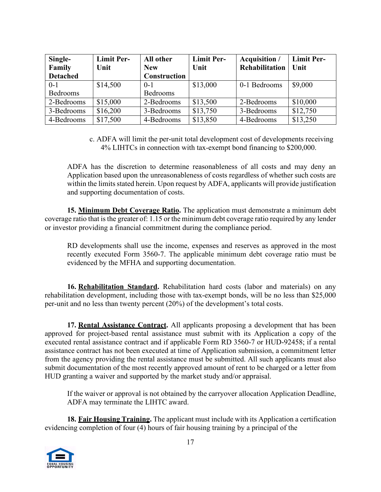| Single-<br>Family<br><b>Detached</b> | <b>Limit Per-</b><br>Unit | All other<br><b>New</b><br>Construction | <b>Limit Per-</b><br>Unit | <b>Acquisition</b> /<br>Rehabilitation   Unit | <b>Limit Per-</b> |
|--------------------------------------|---------------------------|-----------------------------------------|---------------------------|-----------------------------------------------|-------------------|
|                                      |                           |                                         |                           |                                               |                   |
| $0 - 1$                              | \$14,500                  | $0-1$                                   | \$13,000                  | 0-1 Bedrooms                                  | \$9,000           |
| Bedrooms                             |                           | Bedrooms                                |                           |                                               |                   |
| 2-Bedrooms                           | \$15,000                  | 2-Bedrooms                              | \$13,500                  | 2-Bedrooms                                    | \$10,000          |
| 3-Bedrooms                           | \$16,200                  | 3-Bedrooms                              | \$13,750                  | 3-Bedrooms                                    | \$12,750          |
| 4-Bedrooms                           | \$17,500                  | 4-Bedrooms                              | \$13,850                  | 4-Bedrooms                                    | \$13,250          |

c. ADFA will limit the per-unit total development cost of developments receiving 4% LIHTCs in connection with tax-exempt bond financing to \$200,000.

ADFA has the discretion to determine reasonableness of all costs and may deny an Application based upon the unreasonableness of costs regardless of whether such costs are within the limits stated herein. Upon request by ADFA, applicants will provide justification and supporting documentation of costs.

**15. Minimum Debt Coverage Ratio.** The application must demonstrate a minimum debt coverage ratio that is the greater of: 1.15 or the minimum debt coverage ratio required by any lender or investor providing a financial commitment during the compliance period.

RD developments shall use the income, expenses and reserves as approved in the most recently executed Form 3560-7. The applicable minimum debt coverage ratio must be evidenced by the MFHA and supporting documentation.

**16. Rehabilitation Standard.** Rehabilitation hard costs (labor and materials) on any rehabilitation development, including those with tax-exempt bonds, will be no less than \$25,000 per-unit and no less than twenty percent (20%) of the development's total costs.

**17. Rental Assistance Contract.** All applicants proposing a development that has been approved for project-based rental assistance must submit with its Application a copy of the executed rental assistance contract and if applicable Form RD 3560-7 or HUD-92458; if a rental assistance contract has not been executed at time of Application submission, a commitment letter from the agency providing the rental assistance must be submitted. All such applicants must also submit documentation of the most recently approved amount of rent to be charged or a letter from HUD granting a waiver and supported by the market study and/or appraisal.

If the waiver or approval is not obtained by the carryover allocation Application Deadline, ADFA may terminate the LIHTC award.

**18. Fair Housing Training.** The applicant must include with its Application a certification evidencing completion of four (4) hours of fair housing training by a principal of the

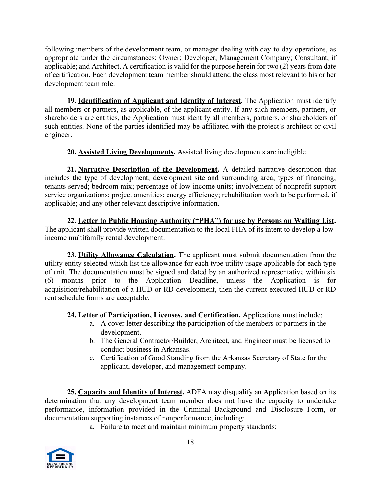following members of the development team, or manager dealing with day-to-day operations, as appropriate under the circumstances: Owner; Developer; Management Company; Consultant, if applicable; and Architect. A certification is valid for the purpose herein for two (2) years from date of certification. Each development team member should attend the class most relevant to his or her development team role.

**19. Identification of Applicant and Identity of Interest.** The Application must identify all members or partners, as applicable, of the applicant entity. If any such members, partners, or shareholders are entities, the Application must identify all members, partners, or shareholders of such entities. None of the parties identified may be affiliated with the project's architect or civil engineer.

**20. Assisted Living Developments.** Assisted living developments are ineligible.

**21. Narrative Description of the Development.** A detailed narrative description that includes the type of development; development site and surrounding area; types of financing; tenants served; bedroom mix; percentage of low-income units; involvement of nonprofit support service organizations; project amenities; energy efficiency; rehabilitation work to be performed, if applicable; and any other relevant descriptive information.

**22. Letter to Public Housing Authority ("PHA") for use by Persons on Waiting List.**  The applicant shall provide written documentation to the local PHA of its intent to develop a lowincome multifamily rental development.

**23. Utility Allowance Calculation.** The applicant must submit documentation from the utility entity selected which list the allowance for each type utility usage applicable for each type of unit. The documentation must be signed and dated by an authorized representative within six (6) months prior to the Application Deadline, unless the Application is for acquisition/rehabilitation of a HUD or RD development, then the current executed HUD or RD rent schedule forms are acceptable.

**24. Letter of Participation, Licenses, and Certification.** Applications must include:

- a. A cover letter describing the participation of the members or partners in the development.
- b. The General Contractor/Builder, Architect, and Engineer must be licensed to conduct business in Arkansas.
- c. Certification of Good Standing from the Arkansas Secretary of State for the applicant, developer, and management company.

**25. Capacity and Identity of Interest.** ADFA may disqualify an Application based on its determination that any development team member does not have the capacity to undertake performance, information provided in the Criminal Background and Disclosure Form, or documentation supporting instances of nonperformance, including:

a. Failure to meet and maintain minimum property standards;

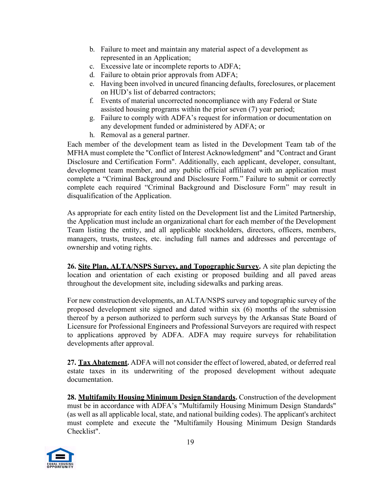- b. Failure to meet and maintain any material aspect of a development as represented in an Application;
- c. Excessive late or incomplete reports to ADFA;
- d. Failure to obtain prior approvals from ADFA;
- e. Having been involved in uncured financing defaults, foreclosures, or placement on HUD's list of debarred contractors;
- f. Events of material uncorrected noncompliance with any Federal or State assisted housing programs within the prior seven (7) year period;
- g. Failure to comply with ADFA's request for information or documentation on any development funded or administered by ADFA; or
- h. Removal as a general partner.

Each member of the development team as listed in the Development Team tab of the MFHA must complete the "Conflict of Interest Acknowledgment" and "Contract and Grant Disclosure and Certification Form". Additionally, each applicant, developer, consultant, development team member, and any public official affiliated with an application must complete a "Criminal Background and Disclosure Form." Failure to submit or correctly complete each required "Criminal Background and Disclosure Form" may result in disqualification of the Application.

As appropriate for each entity listed on the Development list and the Limited Partnership, the Application must include an organizational chart for each member of the Development Team listing the entity, and all applicable stockholders, directors, officers, members, managers, trusts, trustees, etc. including full names and addresses and percentage of ownership and voting rights.

**26. Site Plan, ALTA/NSPS Survey, and Topographic Survey.** A site plan depicting the location and orientation of each existing or proposed building and all paved areas throughout the development site, including sidewalks and parking areas.

For new construction developments, an ALTA/NSPS survey and topographic survey of the proposed development site signed and dated within six (6) months of the submission thereof by a person authorized to perform such surveys by the Arkansas State Board of Licensure for Professional Engineers and Professional Surveyors are required with respect to applications approved by ADFA. ADFA may require surveys for rehabilitation developments after approval.

**27. Tax Abatement.** ADFA will not consider the effect of lowered, abated, or deferred real estate taxes in its underwriting of the proposed development without adequate documentation.

**28. Multifamily Housing Minimum Design Standards.** Construction of the development must be in accordance with ADFA's "Multifamily Housing Minimum Design Standards" (as well as all applicable local, state, and national building codes). The applicant's architect must complete and execute the "Multifamily Housing Minimum Design Standards Checklist".

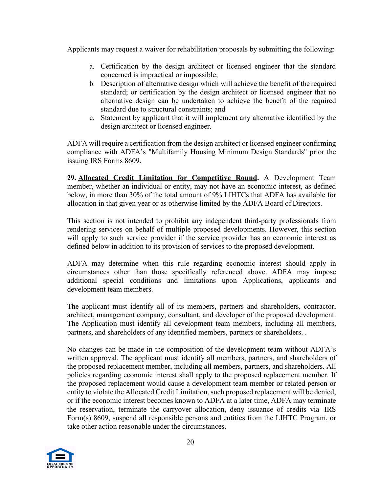Applicants may request a waiver for rehabilitation proposals by submitting the following:

- a. Certification by the design architect or licensed engineer that the standard concerned is impractical or impossible;
- b. Description of alternative design which will achieve the benefit of the required standard; or certification by the design architect or licensed engineer that no alternative design can be undertaken to achieve the benefit of the required standard due to structural constraints; and
- c. Statement by applicant that it will implement any alternative identified by the design architect or licensed engineer.

ADFA will require a certification from the design architect or licensed engineer confirming compliance with ADFA's "Multifamily Housing Minimum Design Standards" prior the issuing IRS Forms 8609.

**29. Allocated Credit Limitation for Competitive Round.** A Development Team member, whether an individual or entity, may not have an economic interest, as defined below, in more than 30% of the total amount of 9% LIHTCs that ADFA has available for allocation in that given year or as otherwise limited by the ADFA Board of Directors.

This section is not intended to prohibit any independent third-party professionals from rendering services on behalf of multiple proposed developments. However, this section will apply to such service provider if the service provider has an economic interest as defined below in addition to its provision of services to the proposed development.

ADFA may determine when this rule regarding economic interest should apply in circumstances other than those specifically referenced above. ADFA may impose additional special conditions and limitations upon Applications, applicants and development team members.

The applicant must identify all of its members, partners and shareholders, contractor, architect, management company, consultant, and developer of the proposed development. The Application must identify all development team members, including all members, partners, and shareholders of any identified members, partners or shareholders. .

No changes can be made in the composition of the development team without ADFA's written approval. The applicant must identify all members, partners, and shareholders of the proposed replacement member, including all members, partners, and shareholders. All policies regarding economic interest shall apply to the proposed replacement member. If the proposed replacement would cause a development team member or related person or entity to violate the Allocated Credit Limitation, such proposed replacement will be denied, or if the economic interest becomes known to ADFA at a later time, ADFA may terminate the reservation, terminate the carryover allocation, deny issuance of credits via IRS Form(s) 8609, suspend all responsible persons and entities from the LIHTC Program, or take other action reasonable under the circumstances.

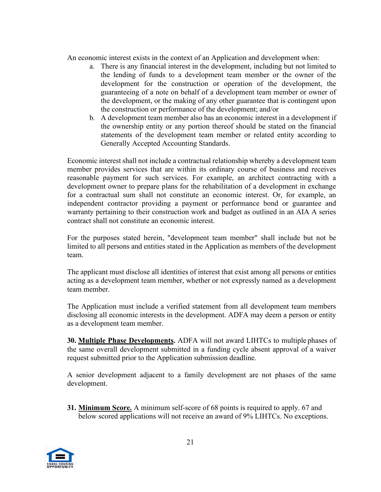An economic interest exists in the context of an Application and development when:

- a. There is any financial interest in the development, including but not limited to the lending of funds to a development team member or the owner of the development for the construction or operation of the development, the guaranteeing of a note on behalf of a development team member or owner of the development, or the making of any other guarantee that is contingent upon the construction or performance of the development; and/or
- b. A development team member also has an economic interest in a development if the ownership entity or any portion thereof should be stated on the financial statements of the development team member or related entity according to Generally Accepted Accounting Standards.

Economic interest shall not include a contractual relationship whereby a development team member provides services that are within its ordinary course of business and receives reasonable payment for such services. For example, an architect contracting with a development owner to prepare plans for the rehabilitation of a development in exchange for a contractual sum shall not constitute an economic interest. Or, for example, an independent contractor providing a payment or performance bond or guarantee and warranty pertaining to their construction work and budget as outlined in an AIA A series contract shall not constitute an economic interest.

For the purposes stated herein, "development team member" shall include but not be limited to all persons and entities stated in the Application as members of the development team.

The applicant must disclose all identities of interest that exist among all persons or entities acting as a development team member, whether or not expressly named as a development team member.

The Application must include a verified statement from all development team members disclosing all economic interests in the development. ADFA may deem a person or entity as a development team member.

**30. Multiple Phase Developments.** ADFA will not award LIHTCs to multiple phases of the same overall development submitted in a funding cycle absent approval of a waiver request submitted prior to the Application submission deadline.

A senior development adjacent to a family development are not phases of the same development.

**31. Minimum Score.** A minimum self-score of 68 points is required to apply. 67 and below scored applications will not receive an award of 9% LIHTCs. No exceptions.

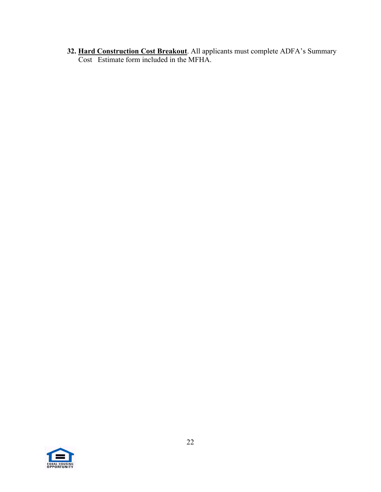**32. Hard Construction Cost Breakout**. All applicants must complete ADFA's Summary Cost Estimate form included in the MFHA.

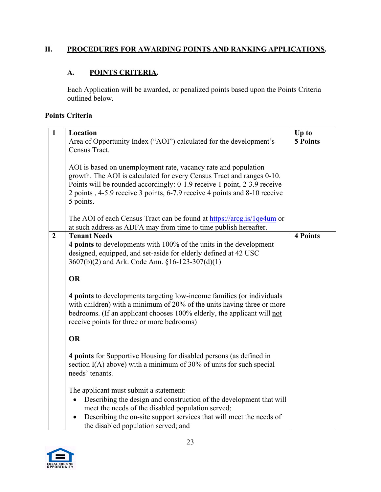## **II. PROCEDURES FOR AWARDING POINTS AND RANKING APPLICATIONS.**

### **A. POINTS CRITERIA.**

Each Application will be awarded, or penalized points based upon the Points Criteria outlined below.

# **Points Criteria**

| $\mathbf{1}$   | Location                                                                                                                                                                                                                                                                  | Up to           |
|----------------|---------------------------------------------------------------------------------------------------------------------------------------------------------------------------------------------------------------------------------------------------------------------------|-----------------|
|                | Area of Opportunity Index ("AOI") calculated for the development's                                                                                                                                                                                                        | <b>5 Points</b> |
|                | Census Tract.                                                                                                                                                                                                                                                             |                 |
|                |                                                                                                                                                                                                                                                                           |                 |
|                | AOI is based on unemployment rate, vacancy rate and population                                                                                                                                                                                                            |                 |
|                | growth. The AOI is calculated for every Census Tract and ranges 0-10.                                                                                                                                                                                                     |                 |
|                | Points will be rounded accordingly: 0-1.9 receive 1 point, 2-3.9 receive                                                                                                                                                                                                  |                 |
|                | 2 points, 4-5.9 receive 3 points, 6-7.9 receive 4 points and 8-10 receive                                                                                                                                                                                                 |                 |
|                | 5 points.                                                                                                                                                                                                                                                                 |                 |
|                |                                                                                                                                                                                                                                                                           |                 |
|                | The AOI of each Census Tract can be found at https://arcg.is/1qe4um or                                                                                                                                                                                                    |                 |
|                | at such address as ADFA may from time to time publish hereafter.                                                                                                                                                                                                          |                 |
| $\overline{2}$ | <b>Tenant Needs</b>                                                                                                                                                                                                                                                       | <b>4 Points</b> |
|                | 4 points to developments with 100% of the units in the development                                                                                                                                                                                                        |                 |
|                | designed, equipped, and set-aside for elderly defined at 42 USC                                                                                                                                                                                                           |                 |
|                | 3607(b)(2) and Ark. Code Ann. §16-123-307(d)(1)                                                                                                                                                                                                                           |                 |
|                |                                                                                                                                                                                                                                                                           |                 |
|                | <b>OR</b>                                                                                                                                                                                                                                                                 |                 |
|                | 4 points to developments targeting low-income families (or individuals<br>with children) with a minimum of 20% of the units having three or more<br>bedrooms. (If an applicant chooses 100% elderly, the applicant will not<br>receive points for three or more bedrooms) |                 |
|                | <b>OR</b>                                                                                                                                                                                                                                                                 |                 |
|                | 4 points for Supportive Housing for disabled persons (as defined in<br>section I(A) above) with a minimum of 30% of units for such special<br>needs' tenants.                                                                                                             |                 |
|                | The applicant must submit a statement:                                                                                                                                                                                                                                    |                 |
|                | Describing the design and construction of the development that will<br>$\bullet$                                                                                                                                                                                          |                 |
|                | meet the needs of the disabled population served;                                                                                                                                                                                                                         |                 |
|                | Describing the on-site support services that will meet the needs of                                                                                                                                                                                                       |                 |
|                | the disabled population served; and                                                                                                                                                                                                                                       |                 |

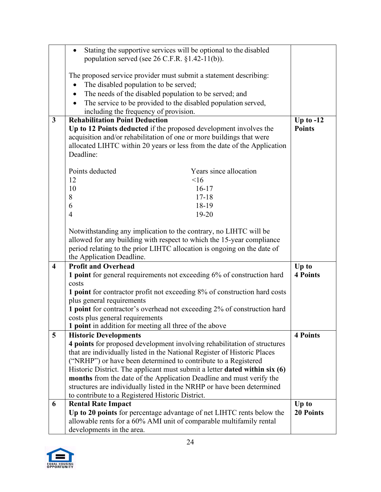|                         | Stating the supportive services will be optional to the disabled<br>$\bullet$  |                  |
|-------------------------|--------------------------------------------------------------------------------|------------------|
|                         | population served (see $26$ C.F.R. $\S1.42-11(b)$ ).                           |                  |
|                         |                                                                                |                  |
|                         | The proposed service provider must submit a statement describing:              |                  |
|                         | The disabled population to be served;                                          |                  |
|                         | The needs of the disabled population to be served; and                         |                  |
|                         |                                                                                |                  |
|                         | The service to be provided to the disabled population served,                  |                  |
| $\mathbf{3}$            | including the frequency of provision.<br><b>Rehabilitation Point Deduction</b> |                  |
|                         |                                                                                | Up to $-12$      |
|                         | Up to 12 Points deducted if the proposed development involves the              | <b>Points</b>    |
|                         | acquisition and/or rehabilitation of one or more buildings that were           |                  |
|                         | allocated LIHTC within 20 years or less from the date of the Application       |                  |
|                         | Deadline:                                                                      |                  |
|                         |                                                                                |                  |
|                         | Points deducted<br>Years since allocation                                      |                  |
|                         | <16<br>12                                                                      |                  |
|                         | 10<br>$16-17$                                                                  |                  |
|                         | $17 - 18$<br>8                                                                 |                  |
|                         | 6<br>18-19                                                                     |                  |
|                         | 19-20<br>$\overline{4}$                                                        |                  |
|                         |                                                                                |                  |
|                         | Notwithstanding any implication to the contrary, no LIHTC will be              |                  |
|                         | allowed for any building with respect to which the 15-year compliance          |                  |
|                         | period relating to the prior LIHTC allocation is ongoing on the date of        |                  |
|                         | the Application Deadline.                                                      |                  |
| $\overline{\mathbf{4}}$ | <b>Profit and Overhead</b>                                                     | Up to            |
|                         | 1 point for general requirements not exceeding 6% of construction hard         | <b>4 Points</b>  |
|                         | costs                                                                          |                  |
|                         | 1 point for contractor profit not exceeding 8% of construction hard costs      |                  |
|                         | plus general requirements                                                      |                  |
|                         | 1 point for contractor's overhead not exceeding 2% of construction hard        |                  |
|                         | costs plus general requirements                                                |                  |
|                         | <b>1 point</b> in addition for meeting all three of the above                  |                  |
| 5                       | <b>Historic Developments</b>                                                   | <b>4 Points</b>  |
|                         | 4 points for proposed development involving rehabilitation of structures       |                  |
|                         | that are individually listed in the National Register of Historic Places       |                  |
|                         |                                                                                |                  |
|                         | ("NRHP") or have been determined to contribute to a Registered                 |                  |
|                         | Historic District. The applicant must submit a letter dated within six (6)     |                  |
|                         | months from the date of the Application Deadline and must verify the           |                  |
|                         | structures are individually listed in the NRHP or have been determined         |                  |
|                         | to contribute to a Registered Historic District.                               |                  |
| 6                       | <b>Rental Rate Impact</b>                                                      | Up to            |
|                         | Up to 20 points for percentage advantage of net LIHTC rents below the          | <b>20 Points</b> |
|                         | allowable rents for a 60% AMI unit of comparable multifamily rental            |                  |
|                         | developments in the area.                                                      |                  |

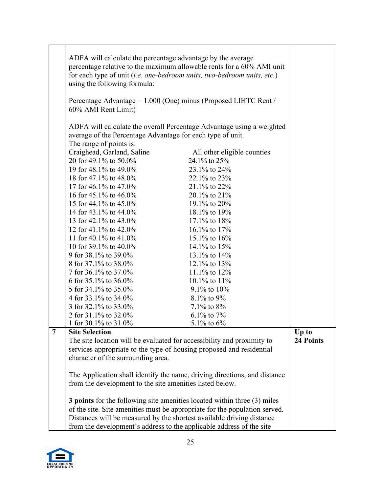|   | ADFA will calculate the percentage advantage by the average                     |                                                                            |           |
|---|---------------------------------------------------------------------------------|----------------------------------------------------------------------------|-----------|
|   |                                                                                 | percentage relative to the maximum allowable rents for a 60% AMI unit      |           |
|   | for each type of unit (i.e. one-bedroom units, two-bedroom units, etc.)         |                                                                            |           |
|   | using the following formula:                                                    |                                                                            |           |
|   |                                                                                 |                                                                            |           |
|   | Percentage Advantage = 1.000 (One) minus (Proposed LIHTC Rent /                 |                                                                            |           |
|   | 60% AMI Rent Limit)                                                             |                                                                            |           |
|   |                                                                                 |                                                                            |           |
|   |                                                                                 | ADFA will calculate the overall Percentage Advantage using a weighted      |           |
|   | average of the Percentage Advantage for each type of unit.                      |                                                                            |           |
|   | The range of points is:                                                         |                                                                            |           |
|   | Craighead, Garland, Saline                                                      | All other eligible counties                                                |           |
|   | 20 for 49.1% to 50.0%                                                           | 24.1% to 25%                                                               |           |
|   | 19 for 48.1% to 49.0%                                                           | 23.1% to 24%                                                               |           |
|   | 18 for 47.1% to 48.0%                                                           | 22.1% to 23%                                                               |           |
|   | 17 for 46.1% to 47.0%                                                           | 21.1% to 22%                                                               |           |
|   | 16 for 45.1% to $46.0\%$                                                        | $20.1\%$ to $21\%$                                                         |           |
|   | 15 for 44.1% to 45.0%                                                           | 19.1% to 20%                                                               |           |
|   | 14 for 43.1% to 44.0%                                                           | 18.1% to 19%                                                               |           |
|   | 13 for 42.1% to 43.0%                                                           | $17.1\%$ to $18\%$                                                         |           |
|   | 12 for 41.1% to 42.0%                                                           | 16.1% to 17%                                                               |           |
|   | 11 for 40.1% to $41.0\%$                                                        | 15.1% to 16%                                                               |           |
|   | 10 for 39.1% to 40.0%                                                           | 14.1% to $15%$                                                             |           |
|   | 9 for 38.1% to 39.0%                                                            | 13.1% to 14%                                                               |           |
|   | 8 for 37.1% to 38.0%                                                            | 12.1% to 13%                                                               |           |
|   | 7 for 36.1% to 37.0%                                                            | 11.1% to $12%$                                                             |           |
|   | 6 for 35.1% to 36.0%                                                            | 10.1% to $11%$                                                             |           |
|   | 5 for 34.1% to 35.0%                                                            | 9.1% to 10%                                                                |           |
|   | 4 for 33.1% to 34.0%                                                            | 8.1% to 9%                                                                 |           |
|   | 3 for 32.1% to 33.0%                                                            | 7.1% to $8\%$                                                              |           |
|   | 2 for 31.1% to 32.0%                                                            | 6.1% to 7%                                                                 |           |
|   | 1 for 30.1% to 31.0%                                                            | 5.1% to $6\%$                                                              |           |
| 7 | <b>Site Selection</b>                                                           |                                                                            | Up to     |
|   | The site location will be evaluated for accessibility and proximity to          |                                                                            | 24 Points |
|   | services appropriate to the type of housing proposed and residential            |                                                                            |           |
|   | character of the surrounding area.                                              |                                                                            |           |
|   |                                                                                 |                                                                            |           |
|   |                                                                                 | The Application shall identify the name, driving directions, and distance  |           |
|   | from the development to the site amenities listed below.                        |                                                                            |           |
|   |                                                                                 |                                                                            |           |
|   | <b>3 points</b> for the following site amenities located within three (3) miles |                                                                            |           |
|   |                                                                                 | of the site. Site amenities must be appropriate for the population served. |           |
|   | Distances will be measured by the shortest available driving distance           |                                                                            |           |
|   | from the development's address to the applicable address of the site            |                                                                            |           |

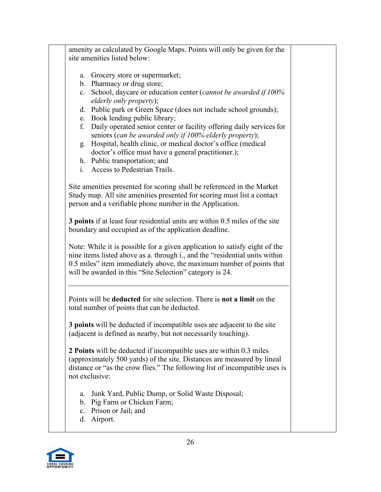amenity as calculated by Google Maps. Points will only be given for the site amenities listed below: a. Grocery store or supermarket; b. Pharmacy or drug store; c. School, daycare or education center (*cannot be awarded if 100% elderly only property*); d. Public park or Green Space (does not include school grounds); e. Book lending public library; f. Daily operated senior center or facility offering daily services for seniors (*can be awarded only if 100% elderly property*); g. Hospital, health clinic, or medical doctor's office (medical doctor's office must have a general practitioner.); h. Public transportation; and i. Access to Pedestrian Trails. Site amenities presented for scoring shall be referenced in the Market Study map. All site amenities presented for scoring must list a contact

person and a verifiable phone number in the Application.

**3 points** if at least four residential units are within 0.5 miles of the site boundary and occupied as of the application deadline.

Note: While it is possible for a given application to satisfy eight of the nine items listed above as a. through i., and the "residential units within 0.5 miles" item immediately above, the maximum number of points that will be awarded in this "Site Selection" category is 24.

Points will be **deducted** for site selection. There is **not a limit** on the total number of points that can be deducted.

**3 points** will be deducted if incompatible uses are adjacent to the site (adjacent is defined as nearby, but not necessarily touching).

**2 Points** will be deducted if incompatible uses are within 0.3 miles (approximately 500 yards) of the site. Distances are measured by lineal distance or "as the crow flies." The following list of incompatible uses is not exclusive:

- a. Junk Yard, Public Dump, or Solid Waste Disposal;
- b. Pig Farm or Chicken Farm;
- c. Prison or Jail; and
- d. Airport.

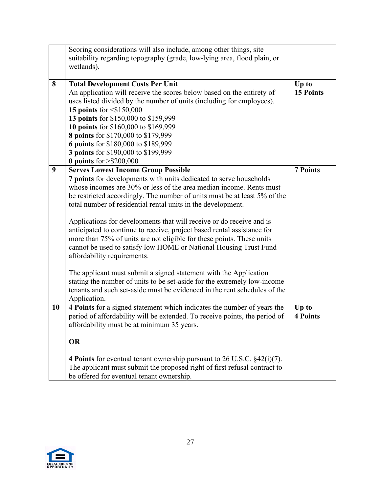|    | Scoring considerations will also include, among other things, site<br>suitability regarding topography (grade, low-lying area, flood plain, or<br>wetlands).                                                                                                                                                                                                                                                                                                                                                                                                                                                                                                                                                                                                                                                                                                                                                       |                           |
|----|--------------------------------------------------------------------------------------------------------------------------------------------------------------------------------------------------------------------------------------------------------------------------------------------------------------------------------------------------------------------------------------------------------------------------------------------------------------------------------------------------------------------------------------------------------------------------------------------------------------------------------------------------------------------------------------------------------------------------------------------------------------------------------------------------------------------------------------------------------------------------------------------------------------------|---------------------------|
| 8  | <b>Total Development Costs Per Unit</b><br>An application will receive the scores below based on the entirety of<br>uses listed divided by the number of units (including for employees).<br>15 points for $\leq$ \$150,000<br>13 points for \$150,000 to \$159,999<br>10 points for \$160,000 to \$169,999<br>8 points for \$170,000 to \$179,999<br>6 points for \$180,000 to \$189,999<br>3 points for \$190,000 to \$199,999<br>0 points for $> $200,000$                                                                                                                                                                                                                                                                                                                                                                                                                                                      | Up to<br><b>15 Points</b> |
| 9  | <b>Serves Lowest Income Group Possible</b><br>7 points for developments with units dedicated to serve households<br>whose incomes are 30% or less of the area median income. Rents must<br>be restricted accordingly. The number of units must be at least 5% of the<br>total number of residential rental units in the development.<br>Applications for developments that will receive or do receive and is<br>anticipated to continue to receive, project based rental assistance for<br>more than 75% of units are not eligible for these points. These units<br>cannot be used to satisfy low HOME or National Housing Trust Fund<br>affordability requirements.<br>The applicant must submit a signed statement with the Application<br>stating the number of units to be set-aside for the extremely low-income<br>tenants and such set-aside must be evidenced in the rent schedules of the<br>Application. | <b>7 Points</b>           |
| 10 | 4 Points for a signed statement which indicates the number of years the<br>period of affordability will be extended. To receive points, the period of<br>affordability must be at minimum 35 years.<br><b>OR</b><br>4 Points for eventual tenant ownership pursuant to 26 U.S.C. $\S$ 42(i)(7).<br>The applicant must submit the proposed right of first refusal contract to<br>be offered for eventual tenant ownership.                                                                                                                                                                                                                                                                                                                                                                                                                                                                                          | Up to<br><b>4 Points</b>  |

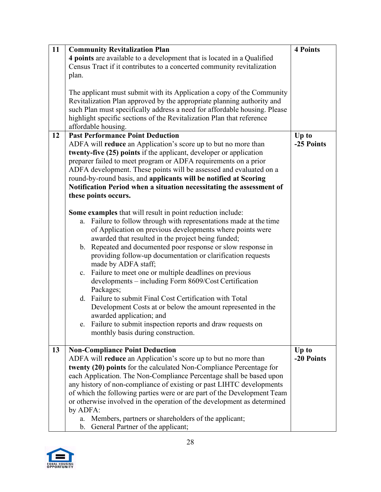| 11 | <b>Community Revitalization Plan</b>                                                                                                                                                                                                                                                                                                                                                                                                                                                                                                                                                                                                                      | <b>4 Points</b> |
|----|-----------------------------------------------------------------------------------------------------------------------------------------------------------------------------------------------------------------------------------------------------------------------------------------------------------------------------------------------------------------------------------------------------------------------------------------------------------------------------------------------------------------------------------------------------------------------------------------------------------------------------------------------------------|-----------------|
|    | 4 points are available to a development that is located in a Qualified                                                                                                                                                                                                                                                                                                                                                                                                                                                                                                                                                                                    |                 |
|    | Census Tract if it contributes to a concerted community revitalization                                                                                                                                                                                                                                                                                                                                                                                                                                                                                                                                                                                    |                 |
|    | plan.                                                                                                                                                                                                                                                                                                                                                                                                                                                                                                                                                                                                                                                     |                 |
|    |                                                                                                                                                                                                                                                                                                                                                                                                                                                                                                                                                                                                                                                           |                 |
|    | The applicant must submit with its Application a copy of the Community                                                                                                                                                                                                                                                                                                                                                                                                                                                                                                                                                                                    |                 |
|    | Revitalization Plan approved by the appropriate planning authority and                                                                                                                                                                                                                                                                                                                                                                                                                                                                                                                                                                                    |                 |
|    | such Plan must specifically address a need for affordable housing. Please                                                                                                                                                                                                                                                                                                                                                                                                                                                                                                                                                                                 |                 |
|    | highlight specific sections of the Revitalization Plan that reference                                                                                                                                                                                                                                                                                                                                                                                                                                                                                                                                                                                     |                 |
|    |                                                                                                                                                                                                                                                                                                                                                                                                                                                                                                                                                                                                                                                           |                 |
|    | affordable housing.                                                                                                                                                                                                                                                                                                                                                                                                                                                                                                                                                                                                                                       |                 |
| 12 | <b>Past Performance Point Deduction</b>                                                                                                                                                                                                                                                                                                                                                                                                                                                                                                                                                                                                                   | Up to           |
|    | ADFA will reduce an Application's score up to but no more than                                                                                                                                                                                                                                                                                                                                                                                                                                                                                                                                                                                            | -25 Points      |
|    | twenty-five (25) points if the applicant, developer or application                                                                                                                                                                                                                                                                                                                                                                                                                                                                                                                                                                                        |                 |
|    | preparer failed to meet program or ADFA requirements on a prior                                                                                                                                                                                                                                                                                                                                                                                                                                                                                                                                                                                           |                 |
|    | ADFA development. These points will be assessed and evaluated on a                                                                                                                                                                                                                                                                                                                                                                                                                                                                                                                                                                                        |                 |
|    | round-by-round basis, and applicants will be notified at Scoring                                                                                                                                                                                                                                                                                                                                                                                                                                                                                                                                                                                          |                 |
|    | Notification Period when a situation necessitating the assessment of                                                                                                                                                                                                                                                                                                                                                                                                                                                                                                                                                                                      |                 |
|    | these points occurs.                                                                                                                                                                                                                                                                                                                                                                                                                                                                                                                                                                                                                                      |                 |
|    |                                                                                                                                                                                                                                                                                                                                                                                                                                                                                                                                                                                                                                                           |                 |
|    | <b>Some examples</b> that will result in point reduction include:                                                                                                                                                                                                                                                                                                                                                                                                                                                                                                                                                                                         |                 |
|    | Failure to follow through with representations made at the time<br>a.                                                                                                                                                                                                                                                                                                                                                                                                                                                                                                                                                                                     |                 |
|    | of Application on previous developments where points were                                                                                                                                                                                                                                                                                                                                                                                                                                                                                                                                                                                                 |                 |
|    | awarded that resulted in the project being funded;                                                                                                                                                                                                                                                                                                                                                                                                                                                                                                                                                                                                        |                 |
|    | b. Repeated and documented poor response or slow response in                                                                                                                                                                                                                                                                                                                                                                                                                                                                                                                                                                                              |                 |
|    |                                                                                                                                                                                                                                                                                                                                                                                                                                                                                                                                                                                                                                                           |                 |
|    | providing follow-up documentation or clarification requests                                                                                                                                                                                                                                                                                                                                                                                                                                                                                                                                                                                               |                 |
|    | made by ADFA staff;                                                                                                                                                                                                                                                                                                                                                                                                                                                                                                                                                                                                                                       |                 |
|    | Failure to meet one or multiple deadlines on previous<br>c.                                                                                                                                                                                                                                                                                                                                                                                                                                                                                                                                                                                               |                 |
|    | developments - including Form 8609/Cost Certification                                                                                                                                                                                                                                                                                                                                                                                                                                                                                                                                                                                                     |                 |
|    |                                                                                                                                                                                                                                                                                                                                                                                                                                                                                                                                                                                                                                                           |                 |
|    |                                                                                                                                                                                                                                                                                                                                                                                                                                                                                                                                                                                                                                                           |                 |
|    |                                                                                                                                                                                                                                                                                                                                                                                                                                                                                                                                                                                                                                                           |                 |
|    |                                                                                                                                                                                                                                                                                                                                                                                                                                                                                                                                                                                                                                                           |                 |
|    |                                                                                                                                                                                                                                                                                                                                                                                                                                                                                                                                                                                                                                                           |                 |
|    | monthly basis during construction.                                                                                                                                                                                                                                                                                                                                                                                                                                                                                                                                                                                                                        |                 |
|    |                                                                                                                                                                                                                                                                                                                                                                                                                                                                                                                                                                                                                                                           |                 |
| 13 | <b>Non-Compliance Point Deduction</b>                                                                                                                                                                                                                                                                                                                                                                                                                                                                                                                                                                                                                     | Up to           |
|    | ADFA will <b>reduce</b> an Application's score up to but no more than                                                                                                                                                                                                                                                                                                                                                                                                                                                                                                                                                                                     | -20 Points      |
|    | twenty (20) points for the calculated Non-Compliance Percentage for                                                                                                                                                                                                                                                                                                                                                                                                                                                                                                                                                                                       |                 |
|    |                                                                                                                                                                                                                                                                                                                                                                                                                                                                                                                                                                                                                                                           |                 |
|    |                                                                                                                                                                                                                                                                                                                                                                                                                                                                                                                                                                                                                                                           |                 |
|    |                                                                                                                                                                                                                                                                                                                                                                                                                                                                                                                                                                                                                                                           |                 |
|    |                                                                                                                                                                                                                                                                                                                                                                                                                                                                                                                                                                                                                                                           |                 |
|    |                                                                                                                                                                                                                                                                                                                                                                                                                                                                                                                                                                                                                                                           |                 |
|    |                                                                                                                                                                                                                                                                                                                                                                                                                                                                                                                                                                                                                                                           |                 |
|    |                                                                                                                                                                                                                                                                                                                                                                                                                                                                                                                                                                                                                                                           |                 |
|    | Packages;<br>d. Failure to submit Final Cost Certification with Total<br>Development Costs at or below the amount represented in the<br>awarded application; and<br>e. Failure to submit inspection reports and draw requests on<br>each Application. The Non-Compliance Percentage shall be based upon<br>any history of non-compliance of existing or past LIHTC developments<br>of which the following parties were or are part of the Development Team<br>or otherwise involved in the operation of the development as determined<br>by ADFA:<br>Members, partners or shareholders of the applicant;<br>a.<br>General Partner of the applicant;<br>b. |                 |

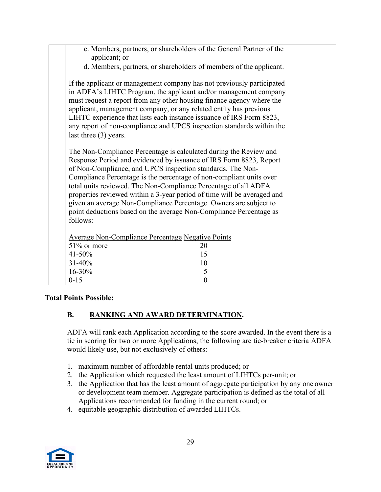| c. Members, partners, or shareholders of the General Partner of the<br>applicant; or                                                                                                                                                                                                                                                                                                                                                                                                                                                                                              |  |
|-----------------------------------------------------------------------------------------------------------------------------------------------------------------------------------------------------------------------------------------------------------------------------------------------------------------------------------------------------------------------------------------------------------------------------------------------------------------------------------------------------------------------------------------------------------------------------------|--|
| d. Members, partners, or shareholders of members of the applicant.                                                                                                                                                                                                                                                                                                                                                                                                                                                                                                                |  |
| If the applicant or management company has not previously participated<br>in ADFA's LIHTC Program, the applicant and/or management company<br>must request a report from any other housing finance agency where the<br>applicant, management company, or any related entity has previous<br>LIHTC experience that lists each instance issuance of IRS Form 8823,<br>any report of non-compliance and UPCS inspection standards within the<br>last three $(3)$ years.                                                                                                              |  |
| The Non-Compliance Percentage is calculated during the Review and<br>Response Period and evidenced by issuance of IRS Form 8823, Report<br>of Non-Compliance, and UPCS inspection standards. The Non-<br>Compliance Percentage is the percentage of non-compliant units over<br>total units reviewed. The Non-Compliance Percentage of all ADFA<br>properties reviewed within a 3-year period of time will be averaged and<br>given an average Non-Compliance Percentage. Owners are subject to<br>point deductions based on the average Non-Compliance Percentage as<br>follows: |  |
| <b>Average Non-Compliance Percentage Negative Points</b><br>51% or more<br>20                                                                                                                                                                                                                                                                                                                                                                                                                                                                                                     |  |
| $41 - 50%$<br>15                                                                                                                                                                                                                                                                                                                                                                                                                                                                                                                                                                  |  |
| 31-40%<br>10                                                                                                                                                                                                                                                                                                                                                                                                                                                                                                                                                                      |  |
| 16-30%<br>5                                                                                                                                                                                                                                                                                                                                                                                                                                                                                                                                                                       |  |
| $0 - 15$<br>$\boldsymbol{0}$                                                                                                                                                                                                                                                                                                                                                                                                                                                                                                                                                      |  |
|                                                                                                                                                                                                                                                                                                                                                                                                                                                                                                                                                                                   |  |

#### **Total Points Possible:**

### **B. RANKING AND AWARD DETERMINATION.**

ADFA will rank each Application according to the score awarded. In the event there is a tie in scoring for two or more Applications, the following are tie-breaker criteria ADFA would likely use, but not exclusively of others:

- 1. maximum number of affordable rental units produced; or
- 2. the Application which requested the least amount of LIHTCs per-unit; or
- 3. the Application that has the least amount of aggregate participation by any one owner or development team member. Aggregate participation is defined as the total of all Applications recommended for funding in the current round; or
- 4. equitable geographic distribution of awarded LIHTCs.

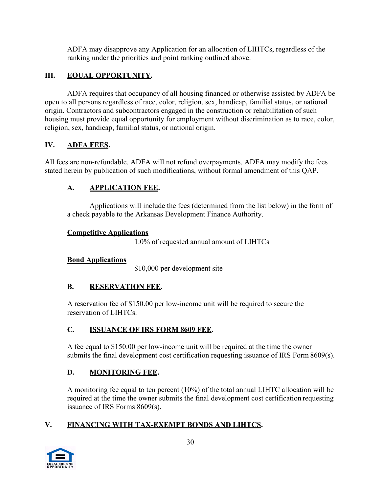ADFA may disapprove any Application for an allocation of LIHTCs, regardless of the ranking under the priorities and point ranking outlined above.

## **III. EQUAL OPPORTUNITY.**

ADFA requires that occupancy of all housing financed or otherwise assisted by ADFA be open to all persons regardless of race, color, religion, sex, handicap, familial status, or national origin. Contractors and subcontractors engaged in the construction or rehabilitation of such housing must provide equal opportunity for employment without discrimination as to race, color, religion, sex, handicap, familial status, or national origin.

# **IV. ADFA FEES.**

All fees are non-refundable. ADFA will not refund overpayments. ADFA may modify the fees stated herein by publication of such modifications, without formal amendment of this QAP.

# **A. APPLICATION FEE.**

Applications will include the fees (determined from the list below) in the form of a check payable to the Arkansas Development Finance Authority.

## **Competitive Applications**

1.0% of requested annual amount of LIHTCs

## **Bond Applications**

\$10,000 per development site

# **B. RESERVATION FEE.**

A reservation fee of \$150.00 per low-income unit will be required to secure the reservation of LIHTCs.

# **C. ISSUANCE OF IRS FORM 8609 FEE.**

A fee equal to \$150.00 per low-income unit will be required at the time the owner submits the final development cost certification requesting issuance of IRS Form 8609(s).

# **D. MONITORING FEE.**

A monitoring fee equal to ten percent (10%) of the total annual LIHTC allocation will be required at the time the owner submits the final development cost certification requesting issuance of IRS Forms 8609(s).

# **V. FINANCING WITH TAX-EXEMPT BONDS AND LIHTCS.**

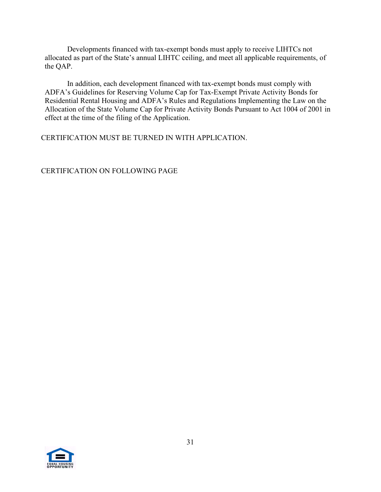Developments financed with tax-exempt bonds must apply to receive LIHTCs not allocated as part of the State's annual LIHTC ceiling, and meet all applicable requirements, of the QAP.

In addition, each development financed with tax-exempt bonds must comply with ADFA's Guidelines for Reserving Volume Cap for Tax-Exempt Private Activity Bonds for Residential Rental Housing and ADFA's Rules and Regulations Implementing the Law on the Allocation of the State Volume Cap for Private Activity Bonds Pursuant to Act 1004 of 2001 in effect at the time of the filing of the Application.

CERTIFICATION MUST BE TURNED IN WITH APPLICATION.

CERTIFICATION ON FOLLOWING PAGE